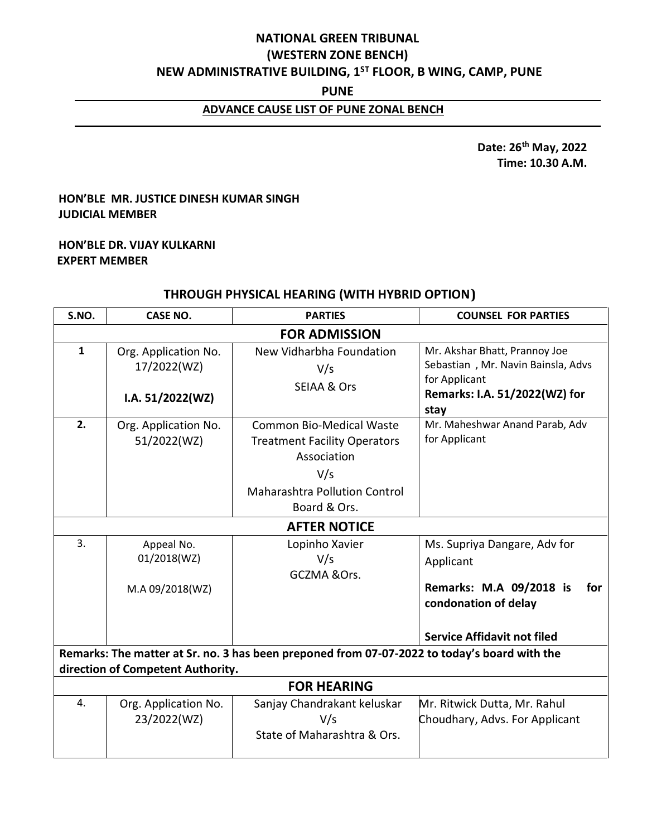# **NATIONAL GREEN TRIBUNAL (WESTERN ZONE BENCH) NEW ADMINISTRATIVE BUILDING, 1ST FLOOR, B WING, CAMP, PUNE**

#### **PUNE**

### **ADVANCE CAUSE LIST OF PUNE ZONAL BENCH**

 **Date: 26th May, 2022 Time: 10.30 A.M.**

### **HON'BLE MR. JUSTICE DINESH KUMAR SINGH JUDICIAL MEMBER**

#### **HON'BLE DR. VIJAY KULKARNI EXPERT MEMBER**

# **THROUGH PHYSICAL HEARING (WITH HYBRID OPTION)**

| S.NO.                                                                                                                             | <b>CASE NO.</b>                                           | <b>PARTIES</b>                                                                                                                                       | <b>COUNSEL FOR PARTIES</b>                                                                                                    |  |  |
|-----------------------------------------------------------------------------------------------------------------------------------|-----------------------------------------------------------|------------------------------------------------------------------------------------------------------------------------------------------------------|-------------------------------------------------------------------------------------------------------------------------------|--|--|
| <b>FOR ADMISSION</b>                                                                                                              |                                                           |                                                                                                                                                      |                                                                                                                               |  |  |
| $\mathbf{1}$                                                                                                                      | Org. Application No.<br>17/2022(WZ)<br>I.A. $51/2022(WZ)$ | New Vidharbha Foundation<br>V/s<br><b>SEIAA &amp; Ors</b>                                                                                            | Mr. Akshar Bhatt, Prannoy Joe<br>Sebastian, Mr. Navin Bainsla, Advs<br>for Applicant<br>Remarks: I.A. 51/2022(WZ) for<br>stay |  |  |
| 2.                                                                                                                                | Org. Application No.<br>51/2022(WZ)                       | <b>Common Bio-Medical Waste</b><br><b>Treatment Facility Operators</b><br>Association<br>V/s<br><b>Maharashtra Pollution Control</b><br>Board & Ors. | Mr. Maheshwar Anand Parab, Adv<br>for Applicant                                                                               |  |  |
|                                                                                                                                   |                                                           | <b>AFTER NOTICE</b>                                                                                                                                  |                                                                                                                               |  |  |
| 3.                                                                                                                                | Appeal No.<br>01/2018(WZ)<br>M.A 09/2018(WZ)              | Lopinho Xavier<br>V/s<br>GCZMA & Ors.                                                                                                                | Ms. Supriya Dangare, Adv for<br>Applicant<br>Remarks: M.A 09/2018 is<br>for<br>condonation of delay                           |  |  |
|                                                                                                                                   |                                                           |                                                                                                                                                      | <b>Service Affidavit not filed</b>                                                                                            |  |  |
| Remarks: The matter at Sr. no. 3 has been preponed from 07-07-2022 to today's board with the<br>direction of Competent Authority. |                                                           |                                                                                                                                                      |                                                                                                                               |  |  |
| <b>FOR HEARING</b>                                                                                                                |                                                           |                                                                                                                                                      |                                                                                                                               |  |  |
| 4.                                                                                                                                | Org. Application No.<br>23/2022(WZ)                       | Sanjay Chandrakant keluskar<br>V/s<br>State of Maharashtra & Ors.                                                                                    | Mr. Ritwick Dutta, Mr. Rahul<br>Choudhary, Advs. For Applicant                                                                |  |  |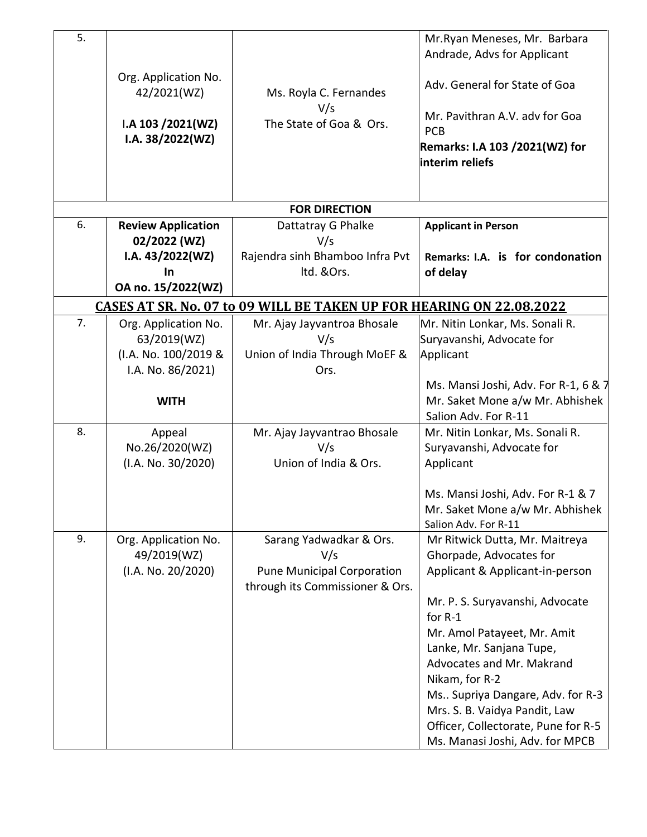| 5.                                                                          |                                            |                                               | Mr. Ryan Meneses, Mr. Barbara<br>Andrade, Advs for Applicant |  |  |
|-----------------------------------------------------------------------------|--------------------------------------------|-----------------------------------------------|--------------------------------------------------------------|--|--|
|                                                                             | Org. Application No.<br>42/2021(WZ)        | Ms. Royla C. Fernandes                        | Adv. General for State of Goa                                |  |  |
|                                                                             | $IA$ 103 $/2021(WZ)$<br>I.A. $38/2022(WZ)$ | V/s<br>The State of Goa & Ors.                | Mr. Pavithran A.V. adv for Goa<br><b>PCB</b>                 |  |  |
|                                                                             |                                            |                                               | <b>Remarks: I.A 103 /2021(WZ) for</b><br>linterim reliefs    |  |  |
|                                                                             |                                            |                                               |                                                              |  |  |
|                                                                             |                                            | <b>FOR DIRECTION</b>                          |                                                              |  |  |
| 6.                                                                          | <b>Review Application</b><br>02/2022 (WZ)  | Dattatray G Phalke<br>V/s                     | <b>Applicant in Person</b>                                   |  |  |
|                                                                             | I.A. $43/2022(WZ)$<br><b>In</b>            | Rajendra sinh Bhamboo Infra Pvt<br>Itd. &Ors. | Remarks: I.A. is for condonation<br>of delay                 |  |  |
|                                                                             | OA no. 15/2022(WZ)                         |                                               |                                                              |  |  |
| <u>CASES AT SR. No. 07 to 09 WILL BE TAKEN UP FOR HEARING ON 22.08.2022</u> |                                            |                                               |                                                              |  |  |
| 7.                                                                          | Org. Application No.                       | Mr. Ajay Jayvantroa Bhosale                   | Mr. Nitin Lonkar, Ms. Sonali R.                              |  |  |
|                                                                             | 63/2019(WZ)                                | V/s                                           | Suryavanshi, Advocate for                                    |  |  |
|                                                                             | (I.A. No. 100/2019 &                       | Union of India Through MoEF &                 | Applicant                                                    |  |  |
|                                                                             | I.A. No. 86/2021)                          | Ors.                                          |                                                              |  |  |
|                                                                             |                                            |                                               | Ms. Mansi Joshi, Adv. For R-1, 6 & 7                         |  |  |
|                                                                             | <b>WITH</b>                                |                                               | Mr. Saket Mone a/w Mr. Abhishek<br>Salion Adv. For R-11      |  |  |
| 8.                                                                          | Appeal                                     | Mr. Ajay Jayvantrao Bhosale                   | Mr. Nitin Lonkar, Ms. Sonali R.                              |  |  |
|                                                                             | No.26/2020(WZ)                             | V/s                                           | Suryavanshi, Advocate for                                    |  |  |
|                                                                             | (I.A. No. 30/2020)                         | Union of India & Ors.                         | Applicant                                                    |  |  |
|                                                                             |                                            |                                               | Ms. Mansi Joshi, Adv. For R-1 & 7                            |  |  |
|                                                                             |                                            |                                               | Mr. Saket Mone a/w Mr. Abhishek                              |  |  |
|                                                                             |                                            |                                               | Salion Adv. For R-11                                         |  |  |
| 9.                                                                          | Org. Application No.                       | Sarang Yadwadkar & Ors.                       | Mr Ritwick Dutta, Mr. Maitreya                               |  |  |
|                                                                             | 49/2019(WZ)                                | V/s                                           | Ghorpade, Advocates for                                      |  |  |
|                                                                             | (I.A. No. 20/2020)                         | <b>Pune Municipal Corporation</b>             | Applicant & Applicant-in-person                              |  |  |
|                                                                             |                                            | through its Commissioner & Ors.               | Mr. P. S. Suryavanshi, Advocate                              |  |  |
|                                                                             |                                            |                                               | for R-1                                                      |  |  |
|                                                                             |                                            |                                               | Mr. Amol Patayeet, Mr. Amit                                  |  |  |
|                                                                             |                                            |                                               | Lanke, Mr. Sanjana Tupe,                                     |  |  |
|                                                                             |                                            |                                               | Advocates and Mr. Makrand                                    |  |  |
|                                                                             |                                            |                                               | Nikam, for R-2                                               |  |  |
|                                                                             |                                            |                                               | Ms Supriya Dangare, Adv. for R-3                             |  |  |
|                                                                             |                                            |                                               | Mrs. S. B. Vaidya Pandit, Law                                |  |  |
|                                                                             |                                            |                                               | Officer, Collectorate, Pune for R-5                          |  |  |
|                                                                             |                                            |                                               | Ms. Manasi Joshi, Adv. for MPCB                              |  |  |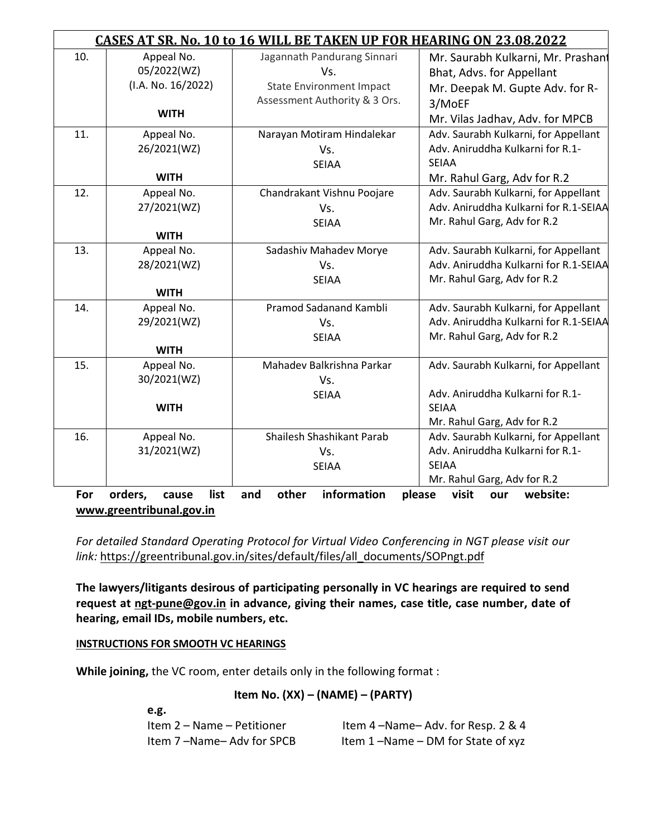| CASES AT SR. No. 10 to 16 WILL BE TAKEN UP FOR HEARING ON 23.08.2022 |                          |                                 |                                       |
|----------------------------------------------------------------------|--------------------------|---------------------------------|---------------------------------------|
| 10.                                                                  | Appeal No.               | Jagannath Pandurang Sinnari     | Mr. Saurabh Kulkarni, Mr. Prashant    |
|                                                                      | 05/2022(WZ)              | Vs.                             | Bhat, Advs. for Appellant             |
|                                                                      | (I.A. No. 16/2022)       | <b>State Environment Impact</b> | Mr. Deepak M. Gupte Adv. for R-       |
|                                                                      |                          | Assessment Authority & 3 Ors.   | 3/MoEF                                |
|                                                                      | <b>WITH</b>              |                                 | Mr. Vilas Jadhav, Adv. for MPCB       |
| 11.                                                                  | Appeal No.               | Narayan Motiram Hindalekar      | Adv. Saurabh Kulkarni, for Appellant  |
|                                                                      | 26/2021(WZ)              | Vs.                             | Adv. Aniruddha Kulkarni for R.1-      |
|                                                                      |                          | <b>SEIAA</b>                    | <b>SEIAA</b>                          |
|                                                                      | <b>WITH</b>              |                                 | Mr. Rahul Garg, Adv for R.2           |
| 12.                                                                  | Appeal No.               | Chandrakant Vishnu Poojare      | Adv. Saurabh Kulkarni, for Appellant  |
|                                                                      | 27/2021(WZ)              | Vs.                             | Adv. Aniruddha Kulkarni for R.1-SEIAA |
|                                                                      |                          | <b>SEIAA</b>                    | Mr. Rahul Garg, Adv for R.2           |
|                                                                      | <b>WITH</b>              |                                 |                                       |
| 13.                                                                  | Appeal No.               | Sadashiv Mahadev Morye          | Adv. Saurabh Kulkarni, for Appellant  |
|                                                                      | 28/2021(WZ)              | Vs.                             | Adv. Aniruddha Kulkarni for R.1-SEIAA |
|                                                                      |                          | <b>SEIAA</b>                    | Mr. Rahul Garg, Adv for R.2           |
|                                                                      | <b>WITH</b>              |                                 |                                       |
| 14.                                                                  | Appeal No.               | Pramod Sadanand Kambli          | Adv. Saurabh Kulkarni, for Appellant  |
|                                                                      | 29/2021(WZ)              | Vs.                             | Adv. Aniruddha Kulkarni for R.1-SEIAA |
|                                                                      |                          | <b>SEIAA</b>                    | Mr. Rahul Garg, Adv for R.2           |
|                                                                      | <b>WITH</b>              |                                 |                                       |
| 15.                                                                  | Appeal No.               | Mahadev Balkrishna Parkar       | Adv. Saurabh Kulkarni, for Appellant  |
|                                                                      | 30/2021(WZ)              | Vs.                             | Adv. Aniruddha Kulkarni for R.1-      |
|                                                                      | <b>WITH</b>              | <b>SEIAA</b>                    | <b>SEIAA</b>                          |
|                                                                      |                          |                                 | Mr. Rahul Garg, Adv for R.2           |
| 16.                                                                  | Appeal No.               | Shailesh Shashikant Parab       | Adv. Saurabh Kulkarni, for Appellant  |
|                                                                      | 31/2021(WZ)              | Vs.                             | Adv. Aniruddha Kulkarni for R.1-      |
|                                                                      |                          | <b>SEIAA</b>                    | <b>SEIAA</b>                          |
|                                                                      |                          |                                 | Mr. Rahul Garg, Adv for R.2           |
| For                                                                  | orders,<br>list<br>cause | information<br>other<br>and     | please<br>visit<br>website:<br>our    |
| www.greentribunal.gov.in                                             |                          |                                 |                                       |

*For detailed Standard Operating Protocol for Virtual Video Conferencing in NGT please visit our link:* [https://greentribunal.gov.in/sites/default/files/all\\_documents/SOPngt.pdf](https://greentribunal.gov.in/sites/default/files/all_documents/SOPngt.pdf)

**The lawyers/litigants desirous of participating personally in VC hearings are required to send request at [ngt-pune@gov.in](mailto:ngt-pune@gov.in) in advance, giving their names, case title, case number, date of hearing, email IDs, mobile numbers, etc.**

**INSTRUCTIONS FOR SMOOTH VC HEARINGS**

**While joining,** the VC room, enter details only in the following format :

### **Item No. (XX) – (NAME) – (PARTY)**

| e.g.                       |                                          |
|----------------------------|------------------------------------------|
| Item 2 – Name – Petitioner | Item $4 - Name - Adv.$ for Resp. $2 & 4$ |
| Item 7-Name-Adv for SPCB   | Item 1-Name - DM for State of xyz        |